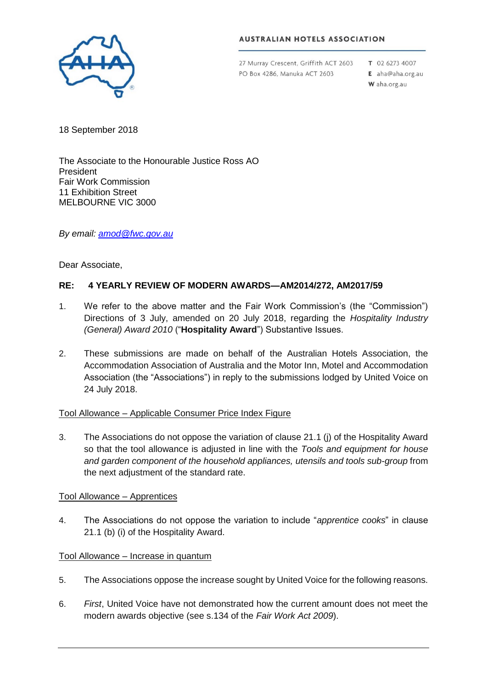

### **AUSTRALIAN HOTELS ASSOCIATION**

27 Murray Crescent, Griffith ACT 2603 PO Box 4286, Manuka ACT 2603

 $T$  02.6273.4007 E aha@aha.org.au W aha.org.au

18 September 2018

The Associate to the Honourable Justice Ross AO President Fair Work Commission 11 Exhibition Street MELBOURNE VIC 3000

*By email: [amod@fwc.gov.au](mailto:amod@fwc.gov.au)*

Dear Associate,

# **RE: 4 YEARLY REVIEW OF MODERN AWARDS—AM2014/272, AM2017/59**

- 1. We refer to the above matter and the Fair Work Commission's (the "Commission") Directions of 3 July, amended on 20 July 2018, regarding the *Hospitality Industry (General) Award 2010* ("**Hospitality Award**") Substantive Issues.
- 2. These submissions are made on behalf of the Australian Hotels Association, the Accommodation Association of Australia and the Motor Inn, Motel and Accommodation Association (the "Associations") in reply to the submissions lodged by United Voice on 24 July 2018.

## Tool Allowance – Applicable Consumer Price Index Figure

3. The Associations do not oppose the variation of clause 21.1 (j) of the Hospitality Award so that the tool allowance is adjusted in line with the *Tools and equipment for house and garden component of the household appliances, utensils and tools sub-group* from the next adjustment of the standard rate.

## Tool Allowance – Apprentices

4. The Associations do not oppose the variation to include "*apprentice cooks*" in clause 21.1 (b) (i) of the Hospitality Award.

# Tool Allowance – Increase in quantum

- 5. The Associations oppose the increase sought by United Voice for the following reasons.
- 6. *First*, United Voice have not demonstrated how the current amount does not meet the modern awards objective (see s.134 of the *Fair Work Act 2009*).